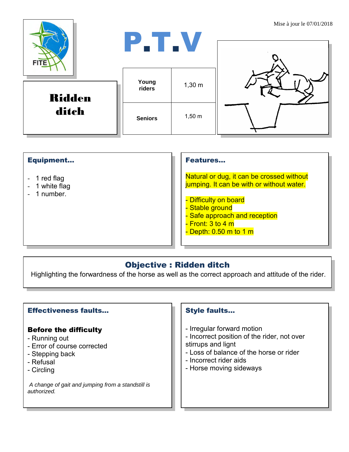| <b>FITE</b>            | P.T.V           |             | Mise a jour le $07/01/2018$ |
|------------------------|-----------------|-------------|-----------------------------|
| <b>Ridden</b><br>ditch | Young<br>riders | $1,30 \; m$ |                             |
|                        | <b>Seniors</b>  | $1,50 \; m$ |                             |

| <b>Equipment</b> |
|------------------|
|------------------|

- 1 red flag
- 1 white flag
- 1 number.

#### Features…

Natural or dug, it can be crossed without jumping. It can be with or without water.

- Difficulty on board
- Stable ground
- Safe approach and reception
- <mark>- Front: 3 to 4 m</mark>
- Depth: 0.50 m to 1 m

# Objective : Ridden ditch

Highlighting the forwardness of the horse as well as the correct approach and attitude of the rider.

## Effectiveness faults…

#### Before the difficulty

- Running out
- Error of course corrected
- Stepping back
- Refusal
- Circling

*A change of gait and jumping from a standstill is authorized.*

### Style faults…

- Irregular forward motion
- Incorrect position of the rider, not over stirrups and lignt
- Loss of balance of the horse or rider
- Incorrect rider aids
- Horse moving sideways